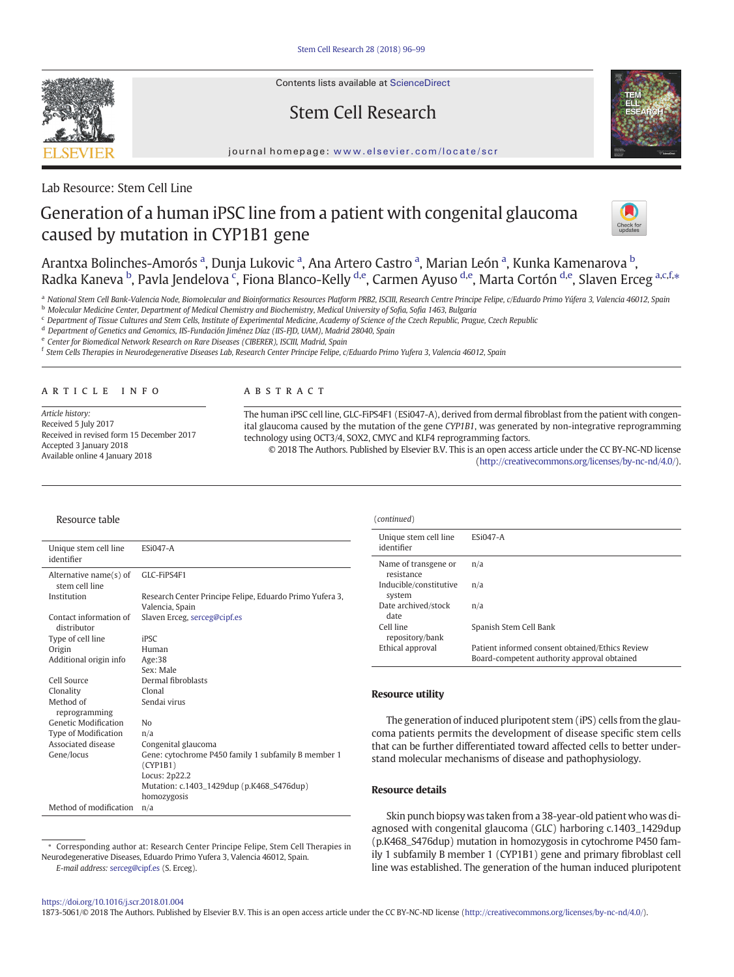Contents lists available at ScienceDirect

# Stem Cell Research



journal homepage: <www.elsevier.com/locate/scr>

## Lab Resource: Stem Cell Line

# Generation of a human iPSC line from a patient with congenital glaucoma caused by mutation in CYP1B1 gene



Arantxa Bolinches-Amorós ª, Dunja Lukovic ª, Ana Artero Castro ª, Marian León ª, Kunka Kamenarova <sup>b</sup>, Radka Kaneva <sup>b</sup>, Pavla Jendelova <sup>c</sup>, Fiona Blanco-Kelly <sup>d,e</sup>, Carmen Ayuso <sup>d,e</sup>, Marta Cortón <sup>d,e</sup>, Slaven Erceg <sup>a,c,f,</sup>\*

a National Stem Cell Bank-Valencia Node, Biomolecular and Bioinformatics Resources Platform PRB2, ISCIII, Research Centre Principe Felipe, c/Eduardo Primo Yúfera 3, Valencia 46012, Spain

<sup>b</sup> Molecular Medicine Center, Department of Medical Chemistry and Biochemistry, Medical University of Sofia, Sofia 1463, Bulgaria

<sup>c</sup> Department of Tissue Cultures and Stem Cells, Institute of Experimental Medicine, Academy of Science of the Czech Republic, Prague, Czech Republic

<sup>d</sup> Department of Genetics and Genomics, IIS-Fundación Jiménez Díaz (IIS-FJD, UAM), Madrid 28040, Spain

<sup>e</sup> Center for Biomedical Network Research on Rare Diseases (CIBERER), ISCIII, Madrid, Spain

<sup>f</sup> Stem Cells Therapies in Neurodegenerative Diseases Lab, Research Center Principe Felipe, c/Eduardo Primo Yufera 3, Valencia 46012, Spain

#### article info abstract

Article history: Received 5 July 2017 Received in revised form 15 December 2017 Accepted 3 January 2018 Available online 4 January 2018

The human iPSC cell line, GLC-FiPS4F1 (ESi047-A), derived from dermal fibroblast from the patient with congenital glaucoma caused by the mutation of the gene CYP1B1, was generated by non-integrative reprogramming technology using OCT3/4, SOX2, CMYC and KLF4 reprogramming factors. © 2018 The Authors. Published by Elsevier B.V. This is an open access article under the CC BY-NC-ND license

[\(http://creativecommons.org/licenses/by-nc-nd/4.0/](http://creativecommons.org/licenses/by-nc-nd/4.0/)).

#### Resource table

| Unique stem cell line<br>identifier         | <b>ESi047-A</b>                                                 |
|---------------------------------------------|-----------------------------------------------------------------|
| Alternative name $(s)$ of<br>stem cell line | GLC-FiPS4F1                                                     |
| Institution                                 | Research Center Principe Felipe, Eduardo Primo Yufera 3,        |
|                                             | Valencia, Spain                                                 |
| Contact information of<br>distributor       | Slaven Erceg, serceg@cipf.es                                    |
| Type of cell line                           | iPSC                                                            |
| Origin                                      | Human                                                           |
| Additional origin info                      | Age:38                                                          |
|                                             | Sex: Male                                                       |
| Cell Source                                 | Dermal fibroblasts                                              |
| Clonality                                   | Clonal                                                          |
| Method of<br>reprogramming                  | Sendai virus                                                    |
| Genetic Modification                        | No                                                              |
| Type of Modification                        | n/a                                                             |
| Associated disease                          | Congenital glaucoma                                             |
| Gene/locus                                  | Gene: cytochrome P450 family 1 subfamily B member 1<br>(CYP1B1) |
|                                             | Locus: 2p22.2                                                   |
|                                             | Mutation: c.1403_1429dup (p.K468_S476dup)                       |
|                                             | homozygosis                                                     |
| Method of modification                      | n/a                                                             |

⁎ Corresponding author at: Research Center Principe Felipe, Stem Cell Therapies in

Neurodegenerative Diseases, Eduardo Primo Yufera 3, Valencia 46012, Spain.

#### Unique stem cell line identifier ESi047-A Name of transgene or resistance n/a Inducible/constitutive system n/a Date archived/stock date n/a Cell line repository/bank Spanish Stem Cell Bank Ethical approval Patient informed consent obtained/Ethics Review Board-competent authority approval obtained

#### Resource utility

(continued)

The generation of induced pluripotent stem (iPS) cells from the glaucoma patients permits the development of disease specific stem cells that can be further differentiated toward affected cells to better understand molecular mechanisms of disease and pathophysiology.

#### Resource details

Skin punch biopsy was taken from a 38-year-old patient who was diagnosed with congenital glaucoma (GLC) harboring c.1403\_1429dup (p.K468\_S476dup) mutation in homozygosis in cytochrome P450 family 1 subfamily B member 1 (CYP1B1) gene and primary fibroblast cell line was established. The generation of the human induced pluripotent

#### <https://doi.org/10.1016/j.scr.2018.01.004>

E-mail address: [serceg@cipf.es](mailto:serceg@cipf.es) (S. Erceg).

1873-5061/© 2018 The Authors. Published by Elsevier B.V. This is an open access article under the CC BY-NC-ND license [\(http://creativecommons.org/licenses/by-nc-nd/4.0/\)](http://creativecommons.org/licenses/by-nc-nd/4.0/).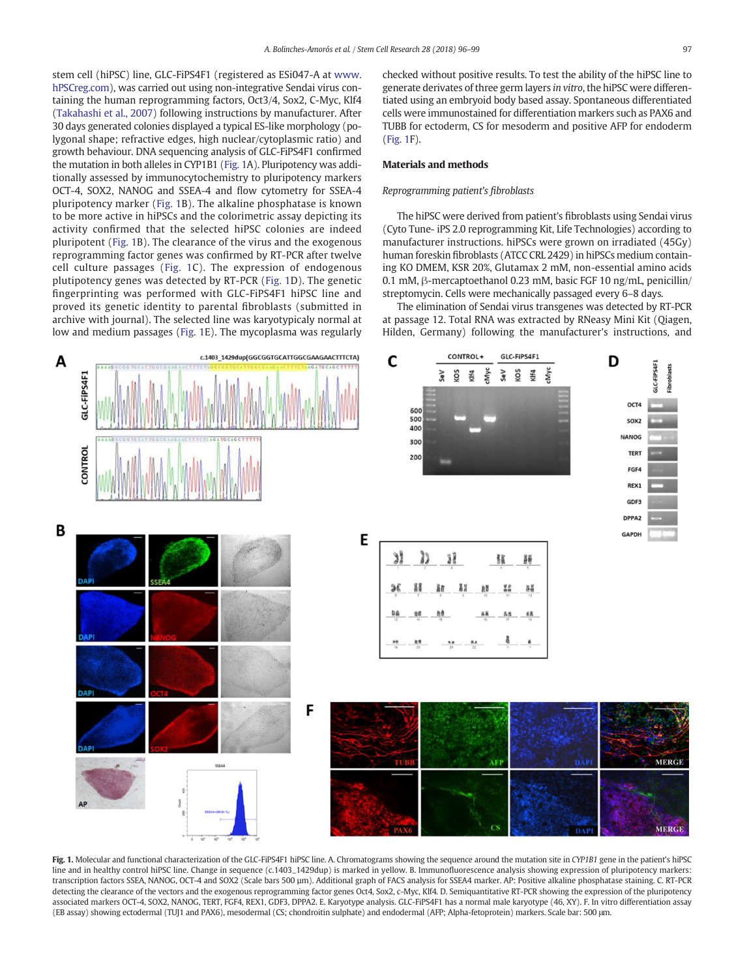<span id="page-1-0"></span>stem cell (hiPSC) line, GLC-FiPS4F1 (registered as ESi047-A at [www.](http://www.hPSCreg.com) [hPSCreg.com\)](http://www.hPSCreg.com), was carried out using non-integrative Sendai virus containing the human reprogramming factors, Oct3/4, Sox2, C-Myc, Klf4 [\(Takahashi et al., 2007](#page-3-0)) following instructions by manufacturer. After 30 days generated colonies displayed a typical ES-like morphology (polygonal shape; refractive edges, high nuclear/cytoplasmic ratio) and growth behaviour. DNA sequencing analysis of GLC-FiPS4F1 confirmed the mutation in both alleles in CYP1B1 (Fig. 1A). Pluripotency was additionally assessed by immunocytochemistry to pluripotency markers OCT-4, SOX2, NANOG and SSEA-4 and flow cytometry for SSEA-4 pluripotency marker (Fig. 1B). The alkaline phosphatase is known to be more active in hiPSCs and the colorimetric assay depicting its activity confirmed that the selected hiPSC colonies are indeed pluripotent (Fig. 1B). The clearance of the virus and the exogenous reprogramming factor genes was confirmed by RT-PCR after twelve cell culture passages (Fig. 1C). The expression of endogenous plutipotency genes was detected by RT-PCR (Fig. 1D). The genetic fingerprinting was performed with GLC-FiPS4F1 hiPSC line and proved its genetic identity to parental fibroblasts (submitted in archive with journal). The selected line was karyotypicaly normal at low and medium passages (Fig. 1E). The mycoplasma was regularly checked without positive results. To test the ability of the hiPSC line to generate derivates of three germ layers in vitro, the hiPSC were differentiated using an embryoid body based assay. Spontaneous differentiated cells were immunostained for differentiation markers such as PAX6 and TUBB for ectoderm, CS for mesoderm and positive AFP for endoderm (Fig. 1F).

#### Materials and methods

#### Reprogramming patient's fibroblasts

The hiPSC were derived from patient's fibroblasts using Sendai virus (Cyto Tune- iPS 2.0 reprogramming Kit, Life Technologies) according to manufacturer instructions. hiPSCs were grown on irradiated (45Gy) human foreskin fibroblasts (ATCC CRL 2429) in hiPSCs medium containing KO DMEM, KSR 20%, Glutamax 2 mM, non-essential amino acids 0.1 mM, β-mercaptoethanol 0.23 mM, basic FGF 10 ng/mL, penicillin/ streptomycin. Cells were mechanically passaged every 6–8 days.

The elimination of Sendai virus transgenes was detected by RT-PCR at passage 12. Total RNA was extracted by RNeasy Mini Kit (Qiagen, Hilden, Germany) following the manufacturer's instructions, and



Fig. 1. Molecular and functional characterization of the GLC-FiPS4F1 hiPSC line. A. Chromatograms showing the sequence around the mutation site in CYP1B1 gene in the patient's hiPSC line and in healthy control hiPSC line. Change in sequence (c.1403\_1429dup) is marked in yellow. B. Immunofluorescence analysis showing expression of pluripotency markers: transcription factors SSEA, NANOG, OCT-4 and SOX2 (Scale bars 500 µm). Additional graph of FACS analysis for SSEA4 marker. AP: Positive alkaline phosphatase staining. C. RT-PCR detecting the clearance of the vectors and the exogenous reprogramming factor genes Oct4, Sox2, c-Myc, Klf4. D. Semiquantitative RT-PCR showing the expression of the pluripotency associated markers OCT-4, SOX2, NANOG, TERT, FGF4, REX1, GDF3, DPPA2. E. Karyotype analysis. GLC-FiPS4F1 has a normal male karyotype (46, XY). F. In vitro differentiation assay (EB assay) showing ectodermal (TUJ1 and PAX6), mesodermal (CS; chondroitin sulphate) and endodermal (AFP; Alpha-fetoprotein) markers. Scale bar: 500 μm.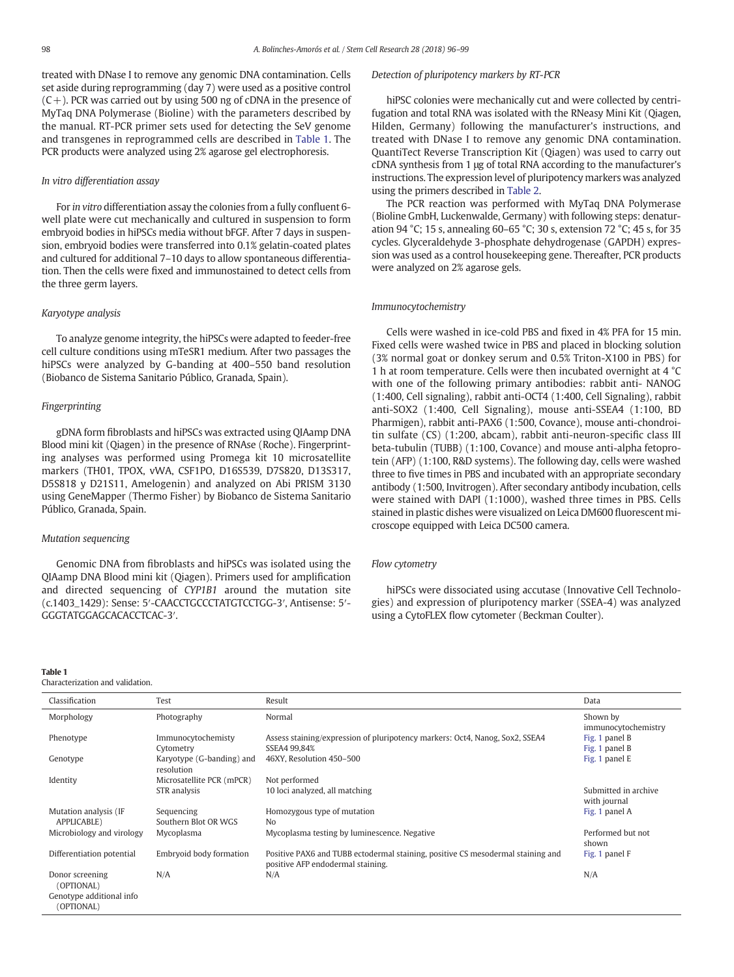treated with DNase I to remove any genomic DNA contamination. Cells set aside during reprogramming (day 7) were used as a positive control  $(C+)$ . PCR was carried out by using 500 ng of cDNA in the presence of MyTaq DNA Polymerase (Bioline) with the parameters described by the manual. RT-PCR primer sets used for detecting the SeV genome and transgenes in reprogrammed cells are described in Table 1. The PCR products were analyzed using 2% agarose gel electrophoresis.

#### In vitro differentiation assay

For in vitro differentiation assay the colonies from a fully confluent 6 well plate were cut mechanically and cultured in suspension to form embryoid bodies in hiPSCs media without bFGF. After 7 days in suspension, embryoid bodies were transferred into 0.1% gelatin-coated plates and cultured for additional 7–10 days to allow spontaneous differentiation. Then the cells were fixed and immunostained to detect cells from the three germ layers.

#### Karyotype analysis

To analyze genome integrity, the hiPSCs were adapted to feeder-free cell culture conditions using mTeSR1 medium. After two passages the hiPSCs were analyzed by G-banding at 400–550 band resolution (Biobanco de Sistema Sanitario Público, Granada, Spain).

#### Fingerprinting

gDNA form fibroblasts and hiPSCs was extracted using QIAamp DNA Blood mini kit (Qiagen) in the presence of RNAse (Roche). Fingerprinting analyses was performed using Promega kit 10 microsatellite markers (TH01, TPOX, vWA, CSF1PO, D16S539, D7S820, D13S317, D5S818 y D21S11, Amelogenin) and analyzed on Abi PRISM 3130 using GeneMapper (Thermo Fisher) by Biobanco de Sistema Sanitario Público, Granada, Spain.

#### Mutation sequencing

Genomic DNA from fibroblasts and hiPSCs was isolated using the QIAamp DNA Blood mini kit (Qiagen). Primers used for amplification and directed sequencing of CYP1B1 around the mutation site (c.1403\_1429): Sense: 5′-CAACCTGCCCTATGTCCTGG-3′, Antisense: 5′- GGGTATGGAGCACACCTCAC-3′.

#### Table 1

Characterization and validation.

#### Detection of pluripotency markers by RT-PCR

hiPSC colonies were mechanically cut and were collected by centrifugation and total RNA was isolated with the RNeasy Mini Kit (Qiagen, Hilden, Germany) following the manufacturer's instructions, and treated with DNase I to remove any genomic DNA contamination. QuantiTect Reverse Transcription Kit (Qiagen) was used to carry out cDNA synthesis from 1 μg of total RNA according to the manufacturer's instructions. The expression level of pluripotency markers was analyzed using the primers described in [Table 2](#page-3-0).

The PCR reaction was performed with MyTaq DNA Polymerase (Bioline GmbH, Luckenwalde, Germany) with following steps: denaturation 94 °C; 15 s, annealing 60–65 °C; 30 s, extension 72 °C; 45 s, for 35 cycles. Glyceraldehyde 3-phosphate dehydrogenase (GAPDH) expression was used as a control housekeeping gene. Thereafter, PCR products were analyzed on 2% agarose gels.

#### Immunocytochemistry

Cells were washed in ice-cold PBS and fixed in 4% PFA for 15 min. Fixed cells were washed twice in PBS and placed in blocking solution (3% normal goat or donkey serum and 0.5% Triton-X100 in PBS) for 1 h at room temperature. Cells were then incubated overnight at 4 °C with one of the following primary antibodies: rabbit anti- NANOG (1:400, Cell signaling), rabbit anti-OCT4 (1:400, Cell Signaling), rabbit anti-SOX2 (1:400, Cell Signaling), mouse anti-SSEA4 (1:100, BD Pharmigen), rabbit anti-PAX6 (1:500, Covance), mouse anti-chondroitin sulfate (CS) (1:200, abcam), rabbit anti-neuron-specific class III beta-tubulin (TUBB) (1:100, Covance) and mouse anti-alpha fetoprotein (AFP) (1:100, R&D systems). The following day, cells were washed three to five times in PBS and incubated with an appropriate secondary antibody (1:500, Invitrogen). After secondary antibody incubation, cells were stained with DAPI (1:1000), washed three times in PBS. Cells stained in plastic dishes were visualized on Leica DM600 fluorescent microscope equipped with Leica DC500 camera.

#### Flow cytometry

hiPSCs were dissociated using accutase (Innovative Cell Technologies) and expression of pluripotency marker (SSEA-4) was analyzed using a CytoFLEX flow cytometer (Beckman Coulter).

| Classification                        | Test                                    | Result                                                                                                               | Data                                 |  |  |
|---------------------------------------|-----------------------------------------|----------------------------------------------------------------------------------------------------------------------|--------------------------------------|--|--|
| Morphology                            | Photography                             | Normal                                                                                                               | Shown by<br>immunocytochemistry      |  |  |
| Phenotype                             | Immunocytochemisty                      | Assess staining/expression of pluripotency markers: Oct4, Nanog, Sox2, SSEA4                                         | Fig. 1 panel B                       |  |  |
|                                       | Cytometry                               | SSEA4 99,84%                                                                                                         | Fig. 1 panel B                       |  |  |
| Genotype                              | Karyotype (G-banding) and<br>resolution | 46XY, Resolution 450-500                                                                                             | Fig. 1 panel E                       |  |  |
| Identity                              | Microsatellite PCR (mPCR)               | Not performed                                                                                                        |                                      |  |  |
|                                       | STR analysis                            | 10 loci analyzed, all matching                                                                                       | Submitted in archive<br>with journal |  |  |
| Mutation analysis (IF                 | Sequencing                              | Homozygous type of mutation                                                                                          | Fig. 1 panel A                       |  |  |
| APPLICABLE)                           | Southern Blot OR WGS                    | N <sub>0</sub>                                                                                                       |                                      |  |  |
| Microbiology and virology             | Mycoplasma                              | Mycoplasma testing by luminescence. Negative                                                                         | Performed but not<br>shown           |  |  |
| Differentiation potential             | Embryoid body formation                 | Positive PAX6 and TUBB ectodermal staining, positive CS mesodermal staining and<br>positive AFP endodermal staining. | Fig. 1 panel F                       |  |  |
| Donor screening<br>(OPTIONAL)         | N/A                                     | N/A                                                                                                                  | N/A                                  |  |  |
| Genotype additional info<br>OPTIONAL) |                                         |                                                                                                                      |                                      |  |  |